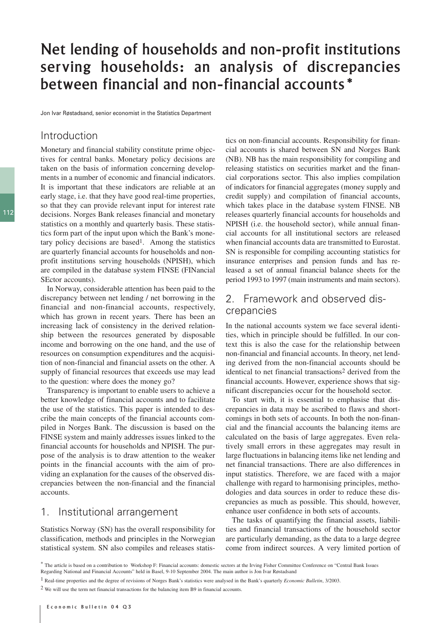# Net lending of households and non-profit institutions serving households: an analysis of discrepancies between financial and non-financial accounts\*

Jon Ivar Røstadsand, senior economist in the Statistics Department

## Introduction

Monetary and financial stability constitute prime objectives for central banks. Monetary policy decisions are taken on the basis of information concerning developments in a number of economic and financial indicators. It is important that these indicators are reliable at an early stage, i.e. that they have good real-time properties, so that they can provide relevant input for interest rate decisions. Norges Bank releases financial and monetary statistics on a monthly and quarterly basis. These statistics form part of the input upon which the Bank's monetary policy decisions are based<sup>1</sup>. Among the statistics are quarterly financial accounts for households and nonprofit institutions serving households (NPISH), which are compiled in the database system FINSE (FINancial SEctor accounts).

In Norway, considerable attention has been paid to the discrepancy between net lending / net borrowing in the financial and non-financial accounts, respectively, which has grown in recent years. There has been an increasing lack of consistency in the derived relationship between the resources generated by disposable income and borrowing on the one hand, and the use of resources on consumption expenditures and the acquisition of non-financial and financial assets on the other. A supply of financial resources that exceeds use may lead to the question: where does the money go?

Transparency is important to enable users to achieve a better knowledge of financial accounts and to facilitate the use of the statistics. This paper is intended to describe the main concepts of the financial accounts compiled in Norges Bank. The discussion is based on the FINSE system and mainly addresses issues linked to the financial accounts for households and NPISH. The purpose of the analysis is to draw attention to the weaker points in the financial accounts with the aim of providing an explanation for the causes of the observed discrepancies between the non-financial and the financial accounts.

## 1. Institutional arrangement

Statistics Norway (SN) has the overall responsibility for classification, methods and principles in the Norwegian statistical system. SN also compiles and releases statis-

tics on non-financial accounts. Responsibility for financial accounts is shared between SN and Norges Bank (NB). NB has the main responsibility for compiling and releasing statistics on securities market and the financial corporations sector. This also implies compilation of indicators for financial aggregates (money supply and credit supply) and compilation of financial accounts, which takes place in the database system FINSE. NB releases quarterly financial accounts for households and NPISH (i.e. the household sector), while annual financial accounts for all institutional sectors are released when financial accounts data are transmitted to Eurostat. SN is responsible for compiling accounting statistics for insurance enterprises and pension funds and has released a set of annual financial balance sheets for the period 1993 to 1997 (main instruments and main sectors).

## 2. Framework and observed discrepancies

In the national accounts system we face several identities, which in principle should be fulfilled. In our context this is also the case for the relationship between non-financial and financial accounts. In theory, net lending derived from the non-financial accounts should be identical to net financial transactions<sup>2</sup> derived from the financial accounts. However, experience shows that significant discrepancies occur for the household sector.

To start with, it is essential to emphasise that discrepancies in data may be ascribed to flaws and shortcomings in both sets of accounts. In both the non-financial and the financial accounts the balancing items are calculated on the basis of large aggregates. Even relatively small errors in these aggregates may result in large fluctuations in balancing items like net lending and net financial transactions. There are also differences in input statistics. Therefore, we are faced with a major challenge with regard to harmonising principles, methodologies and data sources in order to reduce these discrepancies as much as possible. This should, however, enhance user confidence in both sets of accounts.

The tasks of quantifying the financial assets, liabilities and financial transactions of the household sector are particularly demanding, as the data to a large degree come from indirect sources. A very limited portion of

<sup>\*</sup> The article is based on a contribution to Workshop F: Financial accounts: domestic sectors at the Irving Fisher Committee Conference on "Central Bank Issues Regarding National and Financial Accounts" held in Basel, 9-10 September 2004. The main author is Jon Ivar Røstadsand

<sup>1</sup> Real-time properties and the degree of revisions of Norges Bank's statistics were analysed in the Bank's quarterly *Economic Bulletin*, 3/2003.

<sup>2</sup> We will use the term net financial transactions for the balancing item B9 in financial accounts.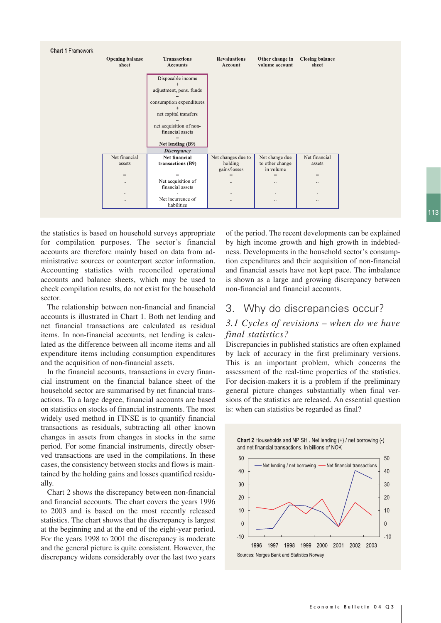

the statistics is based on household surveys appropriate for compilation purposes. The sector's financial accounts are therefore mainly based on data from administrative sources or counterpart sector information. Accounting statistics with reconciled operational accounts and balance sheets, which may be used to check compilation results, do not exist for the household sector.

The relationship between non-financial and financial accounts is illustrated in Chart 1. Both net lending and net financial transactions are calculated as residual items. In non-financial accounts, net lending is calculated as the difference between all income items and all expenditure items including consumption expenditures and the acquisition of non-financial assets.

In the financial accounts, transactions in every financial instrument on the financial balance sheet of the household sector are summarised by net financial transactions. To a large degree, financial accounts are based on statistics on stocks of financial instruments. The most widely used method in FINSE is to quantify financial transactions as residuals, subtracting all other known changes in assets from changes in stocks in the same period. For some financial instruments, directly observed transactions are used in the compilations. In these cases, the consistency between stocks and flows is maintained by the holding gains and losses quantified residually.

Chart 2 shows the discrepancy between non-financial and financial accounts. The chart covers the years 1996 to 2003 and is based on the most recently released statistics. The chart shows that the discrepancy is largest at the beginning and at the end of the eight-year period. For the years 1998 to 2001 the discrepancy is moderate and the general picture is quite consistent. However, the discrepancy widens considerably over the last two years of the period. The recent developments can be explained by high income growth and high growth in indebtedness. Developments in the household sector's consumption expenditures and their acquisition of non-financial and financial assets have not kept pace. The imbalance is shown as a large and growing discrepancy between non-financial and financial accounts.

## 3. Why do discrepancies occur?

## *3.1 Cycles of revisions – when do we have final statistics?*

Discrepancies in published statistics are often explained by lack of accuracy in the first preliminary versions. This is an important problem, which concerns the assessment of the real-time properties of the statistics. For decision-makers it is a problem if the preliminary general picture changes substantially when final versions of the statistics are released. An essential question is: when can statistics be regarded as final?

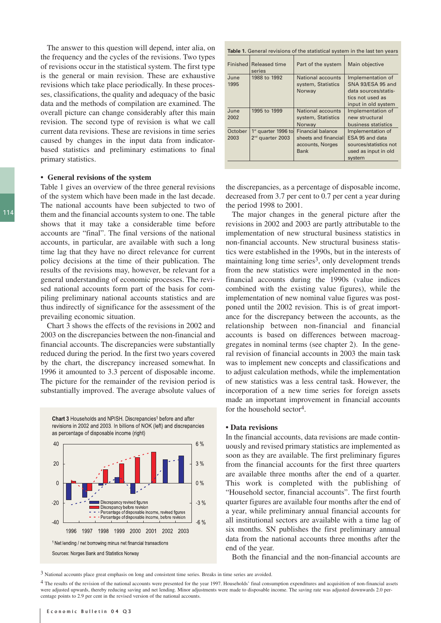The answer to this question will depend, inter alia, on the frequency and the cycles of the revisions. Two types of revisions occur in the statistical system. The first type is the general or main revision. These are exhaustive revisions which take place periodically. In these processes, classifications, the quality and adequacy of the basic data and the methods of compilation are examined. The overall picture can change considerably after this main revision. The second type of revision is what we call current data revisions. These are revisions in time series caused by changes in the input data from indicatorbased statistics and preliminary estimations to final primary statistics.

#### **• General revisions of the system**

Table 1 gives an overview of the three general revisions of the system which have been made in the last decade. The national accounts have been subjected to two of them and the financial accounts system to one. The table shows that it may take a considerable time before accounts are "final". The final versions of the national accounts, in particular, are available with such a long time lag that they have no direct relevance for current policy decisions at the time of their publication. The results of the revisions may, however, be relevant for a general understanding of economic processes. The revised national accounts form part of the basis for compiling preliminary national accounts statistics and are thus indirectly of significance for the assessment of the prevailing economic situation.

Chart 3 shows the effects of the revisions in 2002 and 2003 on the discrepancies between the non-financial and financial accounts. The discrepancies were substantially reduced during the period. In the first two years covered by the chart, the discrepancy increased somewhat. In 1996 it amounted to 3.3 percent of disposable income. The picture for the remainder of the revision period is substantially improved. The average absolute values of

Chart 3 Households and NPISH. Discrepancies<sup>1</sup> before and after revisions in 2002 and 2003. In billions of NOK (left) and discrepancies as percentage of disposable income (right)



**Table 1.** General revisions of the statistical system in the last ten years Finished Released time  $\Box$  Part of the system  $\Box$  Main objective series<br>1988 to 1992 June 1988 to 1992 National accounts Implementation of 1995 system, Statistics SNA 93/ESA 95 and<br>Norway data sources/statisdata sources/statistics not used as input in old system June 1995 to 1999 National accounts Implementation of 2002 | system Statistics new structural Norway business statistics<br>Financial balance Implementation of October 1<sup>st</sup> quarter 1996 to Financial balance | Implementation of 2003  $\frac{1}{2}$ <sup>nd</sup> quarter 2003 sheets and financial ESA 95 and data accounts, Norges sources/statistics not Bank used as input in old system

the discrepancies, as a percentage of disposable income, decreased from 3.7 per cent to 0.7 per cent a year during the period 1998 to 2001.

The major changes in the general picture after the revisions in 2002 and 2003 are partly attributable to the implementation of new structural business statistics in non-financial accounts. New structural business statistics were established in the 1990s, but in the interests of maintaining long time series<sup>3</sup>, only development trends from the new statistics were implemented in the nonfinancial accounts during the 1990s (value indices combined with the existing value figures), while the implementation of new nominal value figures was postponed until the 2002 revision. This is of great importance for the discrepancy between the accounts, as the relationship between non-financial and financial accounts is based on differences between macroaggregates in nominal terms (see chapter 2). In the general revision of financial accounts in 2003 the main task was to implement new concepts and classifications and to adjust calculation methods, while the implementation of new statistics was a less central task. However, the incorporation of a new time series for foreign assets made an important improvement in financial accounts for the household sector4.

#### **• Data revisions**

In the financial accounts, data revisions are made continuously and revised primary statistics are implemented as soon as they are available. The first preliminary figures from the financial accounts for the first three quarters are available three months after the end of a quarter. This work is completed with the publishing of "Household sector, financial accounts". The first fourth quarter figures are available four months after the end of a year, while preliminary annual financial accounts for all institutional sectors are available with a time lag of six months. SN publishes the first preliminary annual data from the national accounts three months after the end of the year.

Both the financial and the non-financial accounts are

3 National accounts place great emphasis on long and consistent time series. Breaks in time series are avoided.

4 The results of the revision of the national accounts were presented for the year 1997. Households' final consumption expenditures and acquisition of non-financial assets were adjusted upwards, thereby reducing saving and net lending. Minor adjustments were made to disposable income. The saving rate was adjusted downwards 2.0 percentage points to 2.9 per cent in the revised version of the national accounts.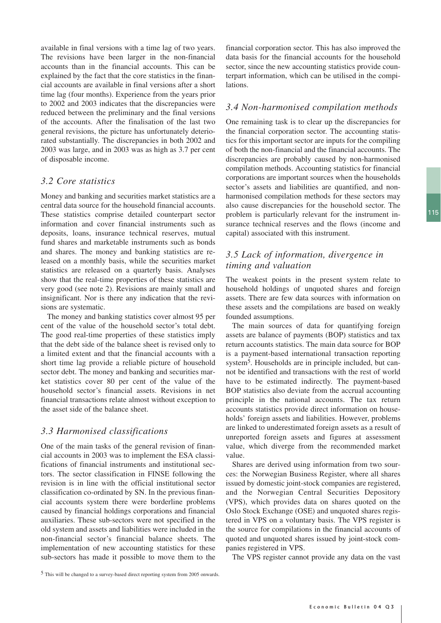available in final versions with a time lag of two years. The revisions have been larger in the non-financial accounts than in the financial accounts. This can be explained by the fact that the core statistics in the financial accounts are available in final versions after a short time lag (four months). Experience from the years prior to 2002 and 2003 indicates that the discrepancies were reduced between the preliminary and the final versions of the accounts. After the finalisation of the last two general revisions, the picture has unfortunately deteriorated substantially. The discrepancies in both 2002 and 2003 was large, and in 2003 was as high as 3.7 per cent of disposable income.

#### *3.2 Core statistics*

Money and banking and securities market statistics are a central data source for the household financial accounts. These statistics comprise detailed counterpart sector information and cover financial instruments such as deposits, loans, insurance technical reserves, mutual fund shares and marketable instruments such as bonds and shares. The money and banking statistics are released on a monthly basis, while the securities market statistics are released on a quarterly basis. Analyses show that the real-time properties of these statistics are very good (see note 2). Revisions are mainly small and insignificant. Nor is there any indication that the revisions are systematic.

The money and banking statistics cover almost 95 per cent of the value of the household sector's total debt. The good real-time properties of these statistics imply that the debt side of the balance sheet is revised only to a limited extent and that the financial accounts with a short time lag provide a reliable picture of household sector debt. The money and banking and securities market statistics cover 80 per cent of the value of the household sector's financial assets. Revisions in net financial transactions relate almost without exception to the asset side of the balance sheet.

#### *3.3 Harmonised classifications*

One of the main tasks of the general revision of financial accounts in 2003 was to implement the ESA classifications of financial instruments and institutional sectors. The sector classification in FINSE following the revision is in line with the official institutional sector classification co-ordinated by SN. In the previous financial accounts system there were borderline problems caused by financial holdings corporations and financial auxiliaries. These sub-sectors were not specified in the old system and assets and liabilities were included in the non-financial sector's financial balance sheets. The implementation of new accounting statistics for these sub-sectors has made it possible to move them to the financial corporation sector. This has also improved the data basis for the financial accounts for the household sector, since the new accounting statistics provide counterpart information, which can be utilised in the compilations.

#### *3.4 Non-harmonised compilation methods*

One remaining task is to clear up the discrepancies for the financial corporation sector. The accounting statistics for this important sector are inputs for the compiling of both the non-financial and the financial accounts. The discrepancies are probably caused by non-harmonised compilation methods. Accounting statistics for financial corporations are important sources when the households sector's assets and liabilities are quantified, and nonharmonised compilation methods for these sectors may also cause discrepancies for the household sector. The problem is particularly relevant for the instrument insurance technical reserves and the flows (income and capital) associated with this instrument.

## *3.5 Lack of information, divergence in timing and valuation*

The weakest points in the present system relate to household holdings of unquoted shares and foreign assets. There are few data sources with information on these assets and the compilations are based on weakly founded assumptions.

The main sources of data for quantifying foreign assets are balance of payments (BOP) statistics and tax return accounts statistics. The main data source for BOP is a payment-based international transaction reporting system5. Households are in principle included, but cannot be identified and transactions with the rest of world have to be estimated indirectly. The payment-based BOP statistics also deviate from the accrual accounting principle in the national accounts. The tax return accounts statistics provide direct information on households' foreign assets and liabilities. However, problems are linked to underestimated foreign assets as a result of unreported foreign assets and figures at assessment value, which diverge from the recommended market value.

Shares are derived using information from two sources: the Norwegian Business Register, where all shares issued by domestic joint-stock companies are registered, and the Norwegian Central Securities Depository (VPS), which provides data on shares quoted on the Oslo Stock Exchange (OSE) and unquoted shares registered in VPS on a voluntary basis. The VPS register is the source for compilations in the financial accounts of quoted and unquoted shares issued by joint-stock companies registered in VPS.

The VPS register cannot provide any data on the vast

<sup>5</sup> This will be changed to a survey-based direct reporting system from 2005 onwards.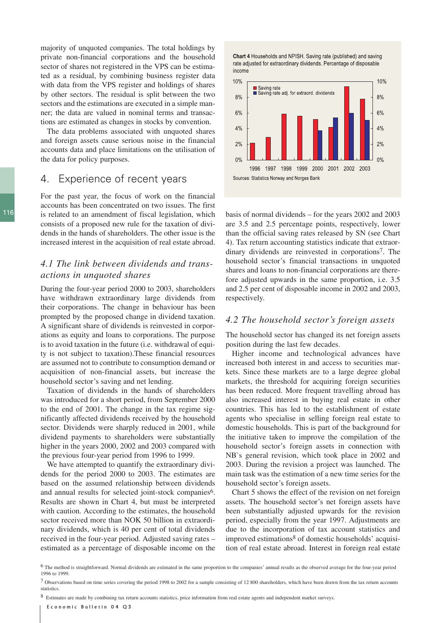majority of unquoted companies. The total holdings by private non-financial corporations and the household sector of shares not registered in the VPS can be estimated as a residual, by combining business register data with data from the VPS register and holdings of shares by other sectors. The residual is split between the two sectors and the estimations are executed in a simple manner; the data are valued in nominal terms and transactions are estimated as changes in stocks by convention.

The data problems associated with unquoted shares and foreign assets cause serious noise in the financial accounts data and place limitations on the utilisation of the data for policy purposes.

## 4. Experience of recent years

For the past year, the focus of work on the financial accounts has been concentrated on two issues. The first is related to an amendment of fiscal legislation, which consists of a proposed new rule for the taxation of dividends in the hands of shareholders. The other issue is the increased interest in the acquisition of real estate abroad.

## *4.1 The link between dividends and transactions in unquoted shares*

During the four-year period 2000 to 2003, shareholders have withdrawn extraordinary large dividends from their corporations. The change in behaviour has been prompted by the proposed change in dividend taxation. A significant share of dividends is reinvested in corporations as equity and loans to corporations. The purpose is to avoid taxation in the future (i.e. withdrawal of equity is not subject to taxation).These financial resources are assumed not to contribute to consumption demand or acquisition of non-financial assets, but increase the household sector's saving and net lending.

Taxation of dividends in the hands of shareholders was introduced for a short period, from September 2000 to the end of 2001. The change in the tax regime significantly affected dividends received by the household sector. Dividends were sharply reduced in 2001, while dividend payments to shareholders were substantially higher in the years 2000, 2002 and 2003 compared with the previous four-year period from 1996 to 1999.

We have attempted to quantify the extraordinary dividends for the period 2000 to 2003. The estimates are based on the assumed relationship between dividends and annual results for selected joint-stock companies<sup>6</sup>. Results are shown in Chart 4, but must be interpreted with caution. According to the estimates, the household sector received more than NOK 50 billion in extraordinary dividends, which is 40 per cent of total dividends received in the four-year period. Adjusted saving rates – estimated as a percentage of disposable income on the





basis of normal dividends – for the years 2002 and 2003 are 3.5 and 2.5 percentage points, respectively, lower than the official saving rates released by SN (see Chart 4). Tax return accounting statistics indicate that extraordinary dividends are reinvested in corporations7. The household sector's financial transactions in unquoted shares and loans to non-financial corporations are therefore adjusted upwards in the same proportion, i.e. 3.5 and 2.5 per cent of disposable income in 2002 and 2003, respectively.

#### *4.2 The household sector's foreign assets*

The household sector has changed its net foreign assets position during the last few decades.

Higher income and technological advances have increased both interest in and access to securities markets. Since these markets are to a large degree global markets, the threshold for acquiring foreign securities has been reduced. More frequent travelling abroad has also increased interest in buying real estate in other countries. This has led to the establishment of estate agents who specialise in selling foreign real estate to domestic households. This is part of the background for the initiative taken to improve the compilation of the household sector's foreign assets in connection with NB`s general revision, which took place in 2002 and 2003. During the revision a project was launched. The main task was the estimation of a new time series for the household sector's foreign assets.

Chart 5 shows the effect of the revision on net foreign assets. The household sector's net foreign assets have been substantially adjusted upwards for the revision period, especially from the year 1997. Adjustments are due to the incorporation of tax account statistics and improved estimations<sup>8</sup> of domestic households' acquisition of real estate abroad. Interest in foreign real estate

7 Observations based on time series covering the period 1998 to 2002 for a sample consisting of 12 800 shareholders, which have been drawn from the tax return accounts statistics.

8 Estimates are made by combining tax return accounts statistics, price information from real estate agents and independent market surveys.

<sup>6</sup> The method is straightforward. Normal dividends are estimated in the same proportion to the companies' annual results as the observed average for the four-year period 1996 to 1999.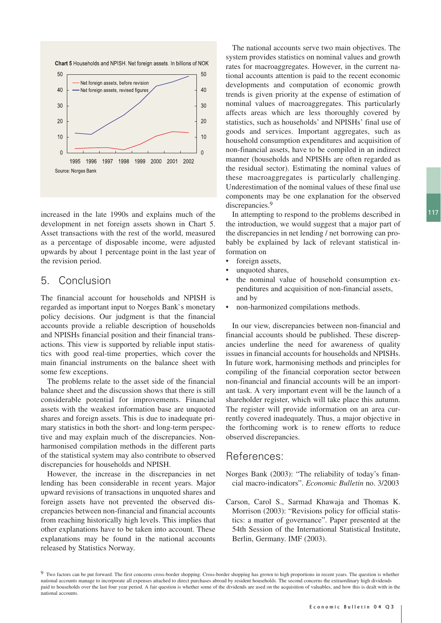

increased in the late 1990s and explains much of the development in net foreign assets shown in Chart 5. Asset transactions with the rest of the world, measured as a percentage of disposable income, were adjusted upwards by about 1 percentage point in the last year of the revision period.

## 5. Conclusion

The financial account for households and NPISH is regarded as important input to Norges Bank`s monetary policy decisions. Our judgment is that the financial accounts provide a reliable description of households and NPISHs financial position and their financial transactions. This view is supported by reliable input statistics with good real-time properties, which cover the main financial instruments on the balance sheet with some few exceptions.

The problems relate to the asset side of the financial balance sheet and the discussion shows that there is still considerable potential for improvements. Financial assets with the weakest information base are unquoted shares and foreign assets. This is due to inadequate primary statistics in both the short- and long-term perspective and may explain much of the discrepancies. Nonharmonised compilation methods in the different parts of the statistical system may also contribute to observed discrepancies for households and NPISH.

However, the increase in the discrepancies in net lending has been considerable in recent years. Major upward revisions of transactions in unquoted shares and foreign assets have not prevented the observed discrepancies between non-financial and financial accounts from reaching historically high levels. This implies that other explanations have to be taken into account. These explanations may be found in the national accounts released by Statistics Norway.

The national accounts serve two main objectives. The system provides statistics on nominal values and growth rates for macroaggregates. However, in the current national accounts attention is paid to the recent economic developments and computation of economic growth trends is given priority at the expense of estimation of nominal values of macroaggregates. This particularly affects areas which are less thoroughly covered by statistics, such as households' and NPISHs' final use of goods and services. Important aggregates, such as household consumption expenditures and acquisition of non-financial assets, have to be compiled in an indirect manner (households and NPISHs are often regarded as the residual sector). Estimating the nominal values of these macroaggregates is particularly challenging. Underestimation of the nominal values of these final use components may be one explanation for the observed discrepancies.<sup>9</sup>

In attempting to respond to the problems described in the introduction, we would suggest that a major part of the discrepancies in net lending / net borrowing can probably be explained by lack of relevant statistical information on

- foreign assets,
- unquoted shares,
- the nominal value of household consumption expenditures and acquisition of non-financial assets, and by
- non-harmonized compilations methods.

In our view, discrepancies between non-financial and financial accounts should be published. These discrepancies underline the need for awareness of quality issues in financial accounts for households and NPISHs. In future work, harmonising methods and principles for compiling of the financial corporation sector between non-financial and financial accounts will be an important task. A very important event will be the launch of a shareholder register, which will take place this autumn. The register will provide information on an area currently covered inadequately. Thus, a major objective in the forthcoming work is to renew efforts to reduce observed discrepancies.

#### References:

- Norges Bank (2003): "The reliability of today's financial macro-indicators". *Economic Bulletin* no. 3/2003
- Carson, Carol S., Sarmad Khawaja and Thomas K. Morrison (2003): "Revisions policy for official statistics: a matter of governance". Paper presented at the 54th Session of the International Statistical Institute, Berlin, Germany. IMF (2003).

<sup>&</sup>lt;sup>9</sup> Two factors can be put forward. The first concerns cross-border shopping. Cross-border shopping has grown to high proportions in recent years. The question is whether national accounts manage to incorporate all expenses attached to direct purchases abroad by resident households. The second concerns the extraordinary high dividends paid to households over the last four year period. A fair question is whether some of the dividends are used on the acquisition of valuables, and how this is dealt with in the national accounts.